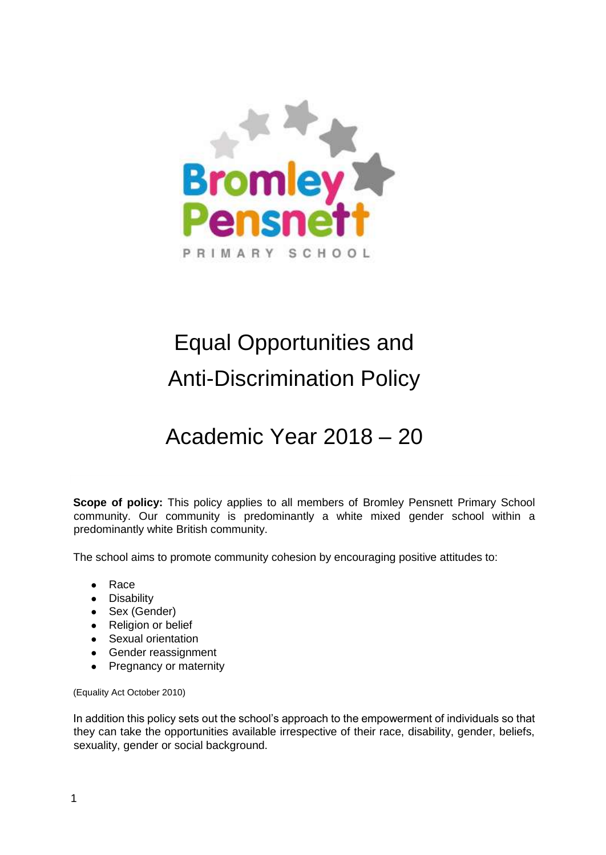

# Equal Opportunities and Anti-Discrimination Policy

Academic Year 2018 – 20

**Scope of policy:** This policy applies to all members of Bromley Pensnett Primary School community. Our community is predominantly a white mixed gender school within a predominantly white British community.

The school aims to promote community cohesion by encouraging positive attitudes to:

- Race
- Disability
- Sex (Gender)
- Religion or belief
- Sexual orientation
- Gender reassignment
- Pregnancy or maternity

(Equality Act October 2010)

In addition this policy sets out the school's approach to the empowerment of individuals so that they can take the opportunities available irrespective of their race, disability, gender, beliefs, sexuality, gender or social background.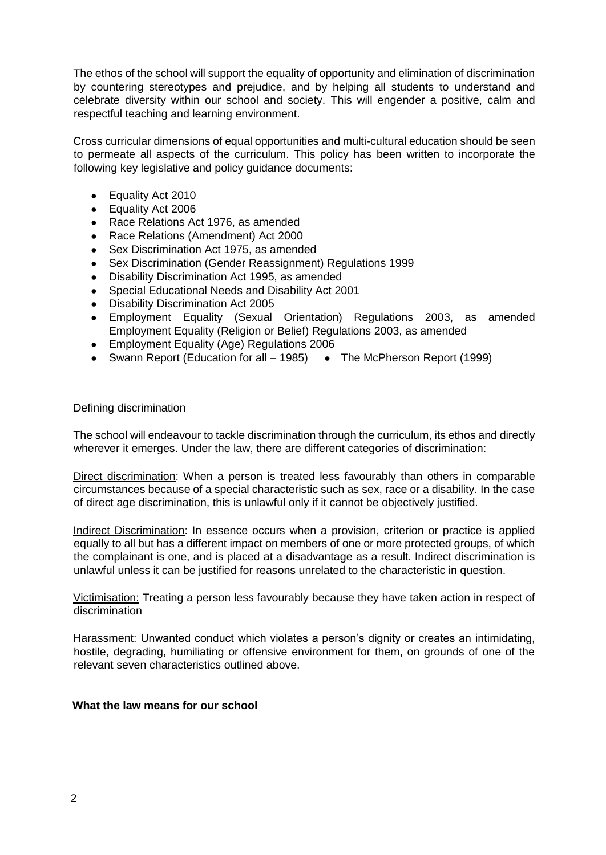The ethos of the school will support the equality of opportunity and elimination of discrimination by countering stereotypes and prejudice, and by helping all students to understand and celebrate diversity within our school and society. This will engender a positive, calm and respectful teaching and learning environment.

Cross curricular dimensions of equal opportunities and multi-cultural education should be seen to permeate all aspects of the curriculum. This policy has been written to incorporate the following key legislative and policy guidance documents:

- Equality Act 2010
- Equality Act 2006
- Race Relations Act 1976, as amended
- Race Relations (Amendment) Act 2000
- Sex Discrimination Act 1975, as amended
- Sex Discrimination (Gender Reassignment) Regulations 1999
- Disability Discrimination Act 1995, as amended
- Special Educational Needs and Disability Act 2001
- Disability Discrimination Act 2005
- Employment Equality (Sexual Orientation) Regulations 2003, as amended Employment Equality (Religion or Belief) Regulations 2003, as amended
- Employment Equality (Age) Regulations 2006
- Swann Report (Education for all 1985) The McPherson Report (1999)

Defining discrimination

The school will endeavour to tackle discrimination through the curriculum, its ethos and directly wherever it emerges. Under the law, there are different categories of discrimination:

Direct discrimination: When a person is treated less favourably than others in comparable circumstances because of a special characteristic such as sex, race or a disability. In the case of direct age discrimination, this is unlawful only if it cannot be objectively justified.

Indirect Discrimination: In essence occurs when a provision, criterion or practice is applied equally to all but has a different impact on members of one or more protected groups, of which the complainant is one, and is placed at a disadvantage as a result. Indirect discrimination is unlawful unless it can be justified for reasons unrelated to the characteristic in question.

Victimisation: Treating a person less favourably because they have taken action in respect of discrimination

Harassment: Unwanted conduct which violates a person's dignity or creates an intimidating, hostile, degrading, humiliating or offensive environment for them, on grounds of one of the relevant seven characteristics outlined above.

## **What the law means for our school**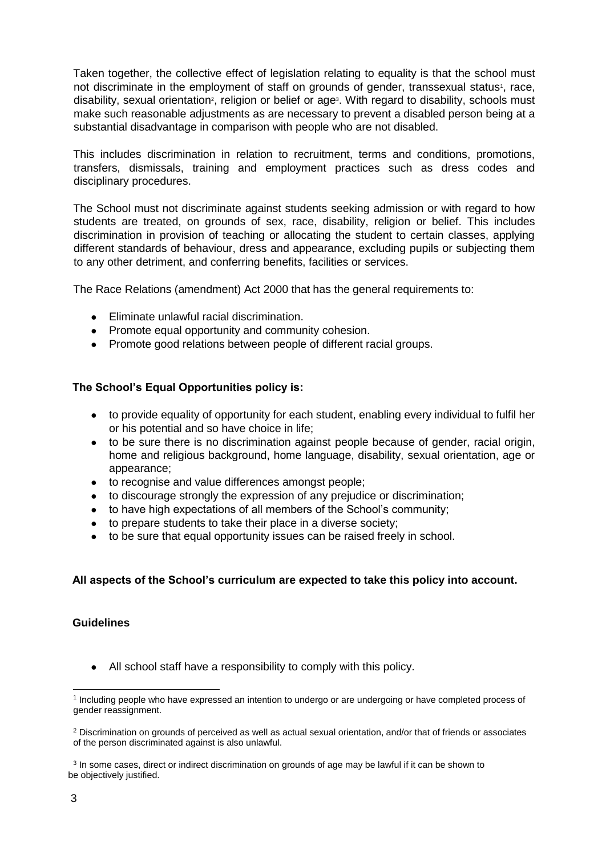Taken together, the collective effect of legislation relating to equality is that the school must not discriminate in the employment of staff on grounds of gender, transsexual status<sup>1</sup>, race, disability, sexual orientation<sup>2</sup>, religion or belief or age<sup>3</sup>. With regard to disability, schools must make such reasonable adjustments as are necessary to prevent a disabled person being at a substantial disadvantage in comparison with people who are not disabled.

This includes discrimination in relation to recruitment, terms and conditions, promotions, transfers, dismissals, training and employment practices such as dress codes and disciplinary procedures.

The School must not discriminate against students seeking admission or with regard to how students are treated, on grounds of sex, race, disability, religion or belief. This includes discrimination in provision of teaching or allocating the student to certain classes, applying different standards of behaviour, dress and appearance, excluding pupils or subjecting them to any other detriment, and conferring benefits, facilities or services.

The Race Relations (amendment) Act 2000 that has the general requirements to:

- Eliminate unlawful racial discrimination.
- Promote equal opportunity and community cohesion.
- Promote good relations between people of different racial groups.

# **The School's Equal Opportunities policy is:**

- to provide equality of opportunity for each student, enabling every individual to fulfil her or his potential and so have choice in life;
- to be sure there is no discrimination against people because of gender, racial origin, home and religious background, home language, disability, sexual orientation, age or appearance;
- to recognise and value differences amongst people;
- to discourage strongly the expression of any prejudice or discrimination;
- to have high expectations of all members of the School's community;
- to prepare students to take their place in a diverse society;
- to be sure that equal opportunity issues can be raised freely in school.

## **All aspects of the School's curriculum are expected to take this policy into account.**

# **Guidelines**

• All school staff have a responsibility to comply with this policy.

<sup>1</sup> 1 Including people who have expressed an intention to undergo or are undergoing or have completed process of gender reassignment.

<sup>2</sup> Discrimination on grounds of perceived as well as actual sexual orientation, and/or that of friends or associates of the person discriminated against is also unlawful.

<sup>&</sup>lt;sup>3</sup> In some cases, direct or indirect discrimination on grounds of age may be lawful if it can be shown to be objectively justified.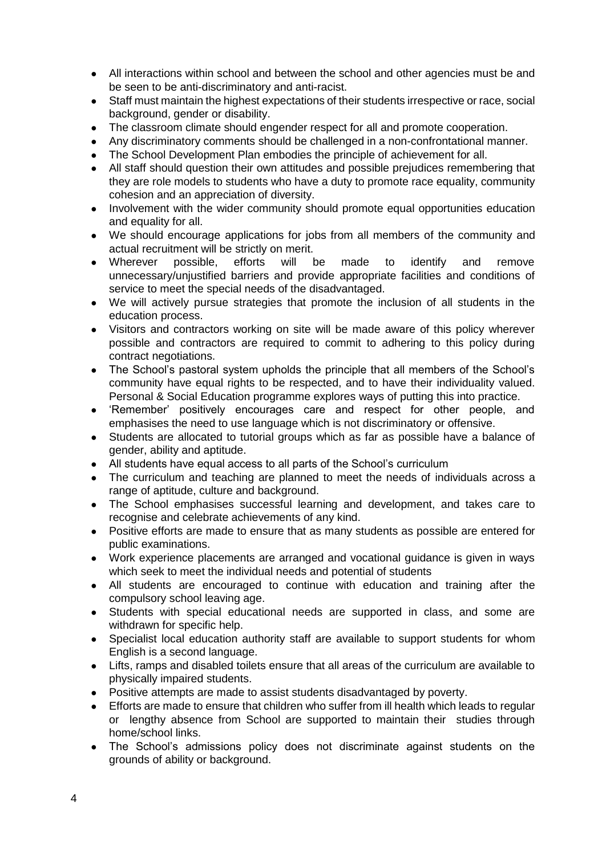- All interactions within school and between the school and other agencies must be and be seen to be anti-discriminatory and anti-racist.
- Staff must maintain the highest expectations of their students irrespective or race, social background, gender or disability.
- The classroom climate should engender respect for all and promote cooperation.
- Any discriminatory comments should be challenged in a non-confrontational manner.
- The School Development Plan embodies the principle of achievement for all.
- All staff should question their own attitudes and possible prejudices remembering that they are role models to students who have a duty to promote race equality, community cohesion and an appreciation of diversity.
- Involvement with the wider community should promote equal opportunities education and equality for all.
- We should encourage applications for jobs from all members of the community and actual recruitment will be strictly on merit.
- Wherever possible, efforts will be made to identify and remove unnecessary/unjustified barriers and provide appropriate facilities and conditions of service to meet the special needs of the disadvantaged.
- We will actively pursue strategies that promote the inclusion of all students in the education process.
- Visitors and contractors working on site will be made aware of this policy wherever possible and contractors are required to commit to adhering to this policy during contract negotiations.
- The School's pastoral system upholds the principle that all members of the School's community have equal rights to be respected, and to have their individuality valued. Personal & Social Education programme explores ways of putting this into practice.
- 'Remember' positively encourages care and respect for other people, and emphasises the need to use language which is not discriminatory or offensive.
- Students are allocated to tutorial groups which as far as possible have a balance of gender, ability and aptitude.
- All students have equal access to all parts of the School's curriculum
- The curriculum and teaching are planned to meet the needs of individuals across a range of aptitude, culture and background.
- The School emphasises successful learning and development, and takes care to recognise and celebrate achievements of any kind.
- Positive efforts are made to ensure that as many students as possible are entered for public examinations.
- Work experience placements are arranged and vocational guidance is given in ways which seek to meet the individual needs and potential of students
- All students are encouraged to continue with education and training after the compulsory school leaving age.
- Students with special educational needs are supported in class, and some are withdrawn for specific help.
- Specialist local education authority staff are available to support students for whom English is a second language.
- Lifts, ramps and disabled toilets ensure that all areas of the curriculum are available to physically impaired students.
- Positive attempts are made to assist students disadvantaged by poverty.
- Efforts are made to ensure that children who suffer from ill health which leads to regular or lengthy absence from School are supported to maintain their studies through home/school links.
- The School's admissions policy does not discriminate against students on the grounds of ability or background.